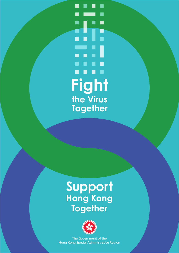r. **Fight the Virus Together**

### **Support Hong Kong Together**



The Government of the Hong Kong Special Administrative Region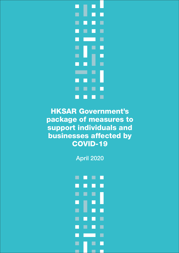

HKSAR Government's package of measures to support individuals and businesses affected by COVID-19

April 2020

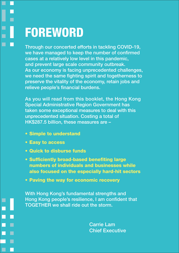ш

П

**The Second Second** 

П

П

## FOREWORD

Through our concerted efforts in tackling COVID-19, we have managed to keep the number of confirmed cases at a relatively low level in this pandemic, and prevent large scale community outbreak. As our economy is facing unprecedented challenges, we need the same fighting spirit and togetherness to preserve the vitality of the economy, retain jobs and relieve people's financial burdens.

As you will read from this booklet, the Hong Kong Special Administrative Region Government has taken some exceptional measures to deal with this unprecedented situation. Costing a total of HK\$287.5 billion, these measures are –

- Simple to understand
- Easy to access
- Quick to disburse funds
- Sufficiently broad-based benefiting large numbers of individuals and businesses while also focused on the especially hard-hit sectors
- Paving the way for economic recovery

With Hong Kong's fundamental strengths and Hong Kong people's resilience, I am confident that TOGETHER we shall ride out the storm.

> Carrie Lam Chief Executive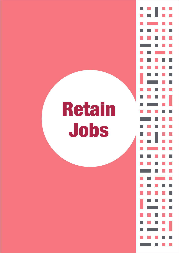# Retain Jobs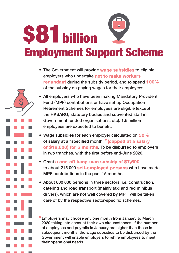# Employment Support Scheme **87** billion

- The Government will provide wage subsidies to eligible employers who undertake not to make workers redundant during the subsidy period, and to spend 100% of the subsidy on paying wages for their employees.
- All employers who have been making Mandatory Provident Fund (MPF) contributions or have set up Occupation Retirement Schemes for employees are eligible (except the HKSARG, statutory bodies and subvented staff in Government funded organisations, etc). 1.5 million employees are expected to benefit.
- Wage subsidies for each employer calculated on 50% of salary at a "specified month"\* (capped at a salary of \$18,000) for 6 months. To be disbursed to employers in two tranches, with the first before end-June 2020.
- Grant a one-off lump-sum subsidy of \$7,500 to about 215 000 self-employed persons who have made MPF contributions in the past 15 months.
- About 800 000 persons in three sectors, i.e. construction, catering and road transport (mainly taxi and red minibus drivers), which are not well covered by MPF, will be taken care of by the respective sector-specific schemes.

Employers may choose any one month from January to March 2020 taking into account their own circumstances. If the number of employees and payrolls in January are higher than those in subsequent months, the wage subsidies to be disbursed by the Government will enable employers to rehire employees to meet their operational needs.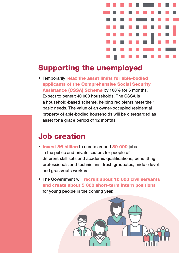

#### Supporting the unemployed

• Temporarily relax the asset limits for able-bodied applicants of the Comprehensive Social Security Assistance (CSSA) Scheme by 100% for 6 months. Expect to benefit 40 000 households. The CSSA is a household-based scheme, helping recipients meet their basic needs. The value of an owner-occupied residential property of able-bodied households will be disregarded as asset for a grace period of 12 months.

#### Job creation

- Invest \$6 billion to create around 30 000 jobs in the public and private sectors for people of different skill sets and academic qualifications, benefitting professionals and technicians, fresh graduates, middle level and grassroots workers.
- The Government will recruit about 10 000 civil servants and create about 5 000 short-term intern positions for young people in the coming year.

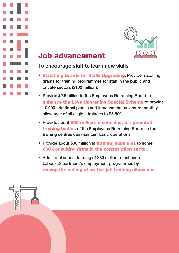

#### Job advancement

#### To encourage staff to learn new skills

- Matching Grants for Skills Upgrading: Provide matching grants for training programmes for staff in the public and private sectors (\$100 million).
- Provide \$2.5 billion to the Employees Retraining Board to enhance the Love Upgrading Special Scheme to provide 10 000 additional places and increase the maximum monthly allowance of all eligible trainees to \$5,800.
- Provide about \$90 million in subsidies to appointed training bodies of the Employees Retraining Board so that training centres can maintain basic operations.
- Provide about \$30 million in training subsidies to some 600 consulting firms in the construction sector.
- Additional annual funding of \$30 million to enhance Labour Department's employment programmes by raising the ceiling of on-the-job training allowance.

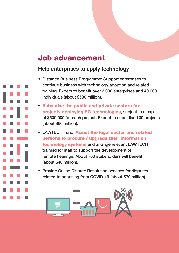#### Job advancement

#### Help enterprises to apply technology

- Distance Business Programme: Support enterprises to continue business with technology adoption and related training. Expect to benefit over 3 000 enterprises and 40 000 individuals (about \$500 million).
- Subsidise the public and private sectors for projects deploying 5G technologies, subject to a cap of \$500,000 for each project. Expect to subsidise 100 projects (about \$60 million).
- LAWTECH Fund: Assist the legal sector and related persons to procure / upgrade their information technology systems and arrange relevant LAWTECH training for staff to support the development of remote hearings. About 700 stakeholders will benefit (about \$40 million).
- Provide Online Dispute Resolution services for disputes related to or arising from COVID-19 (about \$70 million).

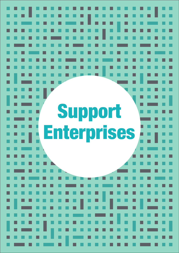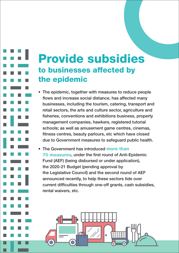### Provide subsidies to businesses affected by the epidemic

• The epidemic, together with measures to reduce people flows and increase social distance, has affected many businesses, including the tourism, catering, transport and retail sectors, the arts and culture sector, agriculture and fisheries, conventions and exhibitions business, property management companies, hawkers, registered tutorial schools; as well as amusement game centres, cinemas, fitness centres, beauty parlours, etc which have closed due to Government measures to safeguard public health.

• The Government has introduced more than 70 measures, under the first round of Anti-Epidemic Fund (AEF) (being disbursed or under application), the 2020-21 Budget (pending approval by the Legislative Council) and the second round of AEF announced recently, to help these sectors tide over current difficulties through one-off grants, cash subsidies, rental waivers, etc.

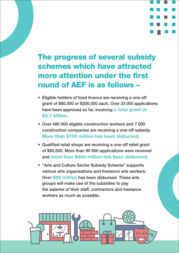#### The progress of several subsidy schemes which have attracted more attention under the first round of AEF is as follows –

- Eligible holders of food licence are receiving a one-off grant of \$80,000 or \$200,000 each. Over 23 000 applications have been approved so far, involving a total grant of \$3.1 billion.
- Over 480 000 eligible construction workers and 7 000 construction companies are receiving a one-off subsidy. More than \$700 million has been disbursed.
- Qualified retail shops are receiving a one-off relief grant of \$80,000. More than 90 000 applications were received and more than \$400 million has been disbursed.
- "Arts and Culture Sector Subsidy Scheme" supports various arts organisations and freelance arts workers. Over \$66 million has been disbursed. These arts groups will make use of the subsidies to pay the salaries of their staff, contractors and freelance workers as much as possible.

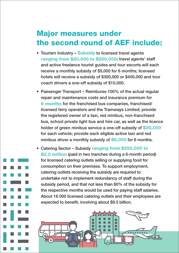#### Major measures under the second round of AEF include:

- Tourism Industry Subsidy to licensed travel agents ranging from \$20,000 to \$200,000; travel agents' staff and active freelance tourist guides and tour escorts will each receive a monthly subsidy of \$5,000 for 6 months; licensed hotels will receive a subsidy of \$300,000 or \$400,000 and tour coach drivers a one-off subsidy of \$10,000.
- Passenger Transport Reimburse 100% of the actual regular repair and maintenance costs and insurance premium for 6 months for the franchised bus companies, franchised/ licensed ferry operators and the Tramways Limited; provide the registered owner of a taxi, red minibus, non-franchised bus, school private light bus and hire car, as well as the licence holder of green minibus service a one-off subsidy of \$30,000 for each vehicle; provide each eligible active taxi and red minibus driver a monthly subsidy of \$6,000 for 6 months.
- Catering Sector Subsidy ranging from \$250,000 to \$2.2 million (paid in two tranches during a 6-month period) for licensed catering outlets selling or supplying food for consumption on their premises. To support employment, catering outlets receiving the subsidy are required to undertake not to implement redundancy of staff during the subsidy period, and that not less than 80% of the subsidy for the respective months would be used for paying staff salaries. About 16 000 licensed catering outlets and their employees are expected to benefit, involving about \$9.5 billion.

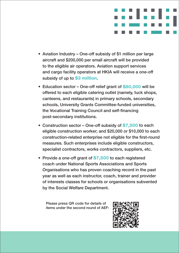

- Aviation Industry One-off subsidy of \$1 million per large aircraft and \$200,000 per small aircraft will be provided to the eligible air operators. Aviation support services and cargo facility operators at HKIA will receive a one-off subsidy of up to **\$3 million**.
- Education sector One-off relief grant of \$80,000 will be offered to each eligible catering outlet (namely, tuck shops, canteens, and restaurants) in primary schools, secondary schools, University Grants Committee-funded universities, the Vocational Training Council and self-financing post-secondary institutions.
- Construction sector One-off subsidy of \$7,500 to each eligible construction worker; and \$20,000 or \$10,000 to each construction-related enterprise not eligible for the first-round measures. Such enterprises include eligible constructors, specialist contractors, works contractors, suppliers, etc.
- Provide a one-off grant of \$7,500 to each registered coach under National Sports Associations and Sports Organisations who has proven coaching record in the past year as well as each instructor, coach, trainer and provider of interests classes for schools or organisations subvented by the Social Welfare Department.

Please press QR code for details of items under the second round of AEF:

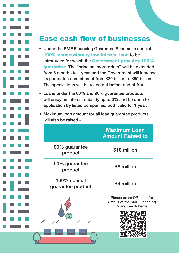#### Ease cash flow of businesses

- Under the SME Financing Guarantee Scheme, a special 100% concessionary low-interest loan to be introduced for which the Government provides 100% guarantee. The "principal moratorium" will be extended from 6 months to 1 year, and the Government will increase its guarantee commitment from \$20 billion to \$50 billion. The special loan will be rolled out before end of April.
- Loans under the 80% and 90% guarantee products will enjoy an interest subsidy up to 3% and be open to application by listed companies, both valid for 1 year.
- Maximum loan amount for all loan guarantee products will also be raised -

|                                   | <b>Maximum Loan</b><br><b>Amount Raised to</b> |
|-----------------------------------|------------------------------------------------|
| 80% guarantee<br>product          | \$18 million                                   |
| 90% guarantee<br>product          | \$8 million                                    |
| 100% special<br>guarantee product | \$4 million                                    |



Please press QR code for details of the SME Financing Guarantee Scheme:

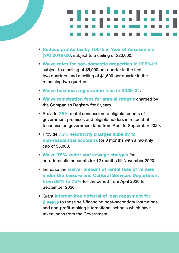- Reduce profits tax by 100% in Year of Assessment (YA) 2019-20, subject to a ceiling of \$20,000.
- Waive rates for non-domestic properties in 2020-21, subject to a ceiling of \$5,000 per quarter in the first two quarters, and a ceiling of \$1,500 per quarter in the remaining two quarters.
- Waive business registration fees in 2020-21.
- Waive registration fees for annual returns charged by the Companies Registry for 2 years.
- Provide 75% rental concession to eligible tenants of government premises and eligible holders in respect of tenancies on government land from April to September 2020.
- Provide 75% electricity charges subsidy to non-residential accounts for 8 months with a monthly cap of \$5,000.
- Waive 75% water and sewage charges for non-domestic accounts for 12 months till November 2020.
- Increase the waiver amount of rental fees of venues under the Leisure and Cultural Services Department from 50% to 75% for the period from April 2020 to September 2020.
- Grant interest-free deferral of loan repayment for 2 years to those self-financing post-secondary institutions and non-profit-making international schools which have taken loans from the Government.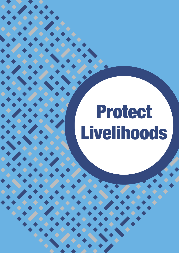# Protect Livelihoods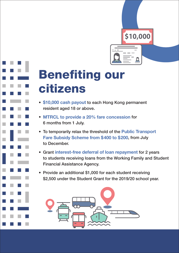

## Benefiting our citizens

- \$10,000 cash payout to each Hong Kong permanent resident aged 18 or above.
- MTRCL to provide a 20% fare concession for 6 months from 1 July.
- To temporarily relax the threshold of the **Public Transport** Fare Subsidy Scheme from \$400 to \$200, from July to December.
- Grant interest-free deferral of loan repayment for 2 years to students receiving loans from the Working Family and Student Financial Assistance Agency.
- Provide an additional \$1,000 for each student receiving \$2,500 under the Student Grant for the 2019/20 school year.

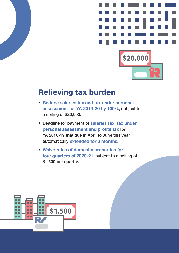

#### Relieving tax burden

- Reduce salaries tax and tax under personal assessment for YA 2019-20 by 100%, subject to a ceiling of \$20,000.
- Deadline for payment of salaries tax, tax under personal assessment and profits tax for YA 2018-19 that due in April to June this year automatically extended for 3 months.
- Waive rates of domestic properties for four quarters of 2020-21, subject to a ceiling of \$1,500 per quarter.

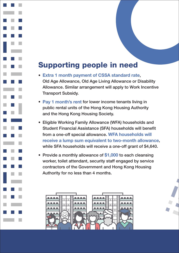#### Supporting people in need

- Extra 1 month payment of CSSA standard rate, Old Age Allowance, Old Age Living Allowance or Disability Allowance. Similar arrangement will apply to Work Incentive Transport Subsidy.
- Pay 1 month's rent for lower income tenants living in public rental units of the Hong Kong Housing Authority and the Hong Kong Housing Society.
- Eligible Working Family Allowance (WFA) households and Student Financial Assistance (SFA) households will benefit from a one-off special allowance. WFA households will receive a lump sum equivalent to two-month allowance, while SFA households will receive a one-off grant of \$4,640.
- Provide a monthly allowance of \$1,000 to each cleansing worker, toilet attendant, security staff engaged by service contractors of the Government and Hong Kong Housing Authority for no less than 4 months.